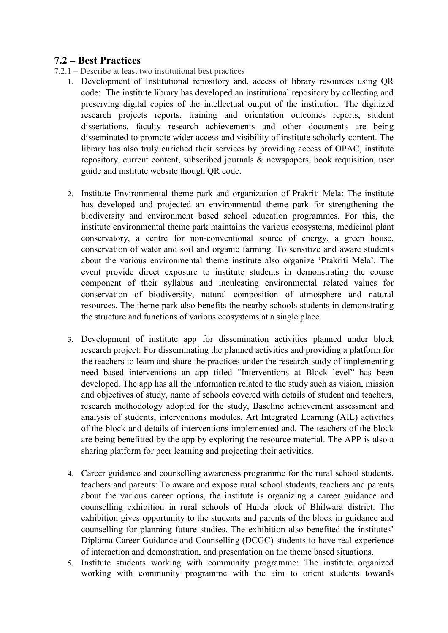## **7.2 – Best Practices**

- 7.2.1 Describe at least two institutional best practices
	- 1. Development of Institutional repository and, access of library resources using QR code: The institute library has developed an institutional repository by collecting and preserving digital copies of the intellectual output of the institution. The digitized research projects reports, training and orientation outcomes reports, student dissertations, faculty research achievements and other documents are being disseminated to promote wider access and visibility of institute scholarly content. The library has also truly enriched their services by providing access of OPAC, institute repository, current content, subscribed journals & newspapers, book requisition, user guide and institute website though QR code.
	- 2. Institute Environmental theme park and organization of Prakriti Mela: The institute has developed and projected an environmental theme park for strengthening the biodiversity and environment based school education programmes. For this, the institute environmental theme park maintains the various ecosystems, medicinal plant conservatory, a centre for non-conventional source of energy, a green house, conservation of water and soil and organic farming. To sensitize and aware students about the various environmental theme institute also organize 'Prakriti Mela'. The event provide direct exposure to institute students in demonstrating the course component of their syllabus and inculcating environmental related values for conservation of biodiversity, natural composition of atmosphere and natural resources. The theme park also benefits the nearby schools students in demonstrating the structure and functions of various ecosystems at a single place.
	- 3. Development of institute app for dissemination activities planned under block research project: For disseminating the planned activities and providing a platform for the teachers to learn and share the practices under the research study of implementing need based interventions an app titled "Interventions at Block level" has been developed. The app has all the information related to the study such as vision, mission and objectives of study, name of schools covered with details of student and teachers, research methodology adopted for the study, Baseline achievement assessment and analysis of students, interventions modules, Art Integrated Learning (AIL) activities of the block and details of interventions implemented and. The teachers of the block are being benefitted by the app by exploring the resource material. The APP is also a sharing platform for peer learning and projecting their activities.
	- 4. Career guidance and counselling awareness programme for the rural school students, teachers and parents: To aware and expose rural school students, teachers and parents about the various career options, the institute is organizing a career guidance and counselling exhibition in rural schools of Hurda block of Bhilwara district. The exhibition gives opportunity to the students and parents of the block in guidance and counselling for planning future studies. The exhibition also benefited the institutes' Diploma Career Guidance and Counselling (DCGC) students to have real experience of interaction and demonstration, and presentation on the theme based situations.
	- 5. Institute students working with community programme: The institute organized working with community programme with the aim to orient students towards